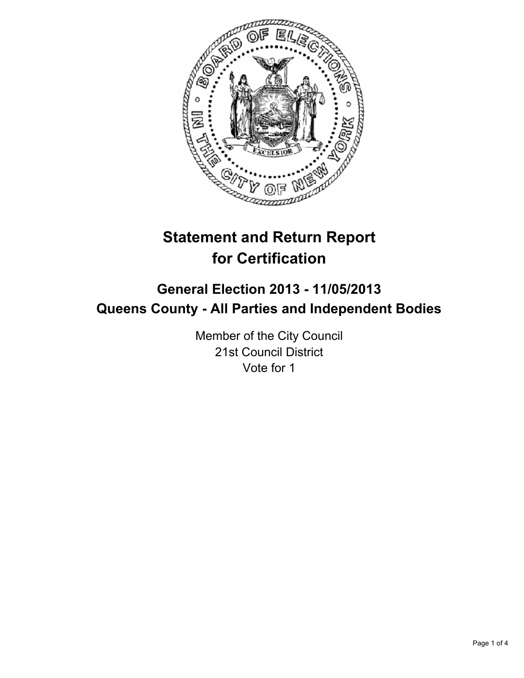

# **Statement and Return Report for Certification**

## **General Election 2013 - 11/05/2013 Queens County - All Parties and Independent Bodies**

Member of the City Council 21st Council District Vote for 1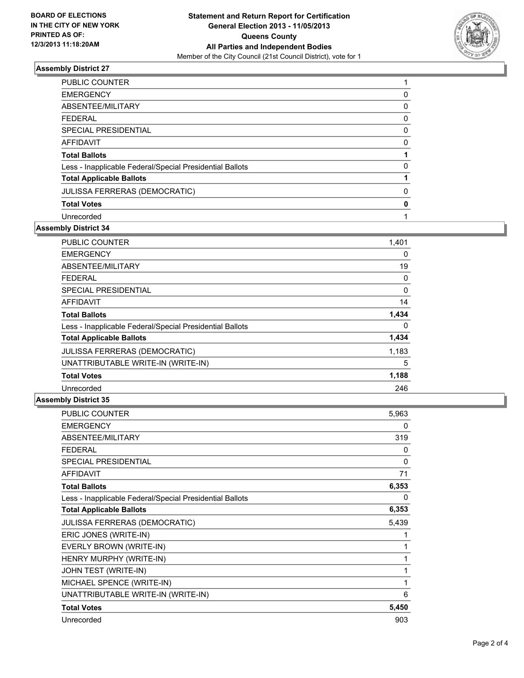

## **Assembly District 27**

| <b>PUBLIC COUNTER</b>                                    |          |
|----------------------------------------------------------|----------|
| <b>EMERGENCY</b>                                         | 0        |
| ABSENTEE/MILITARY                                        | 0        |
| <b>FEDERAL</b>                                           | 0        |
| SPECIAL PRESIDENTIAL                                     | 0        |
| AFFIDAVIT                                                | 0        |
| <b>Total Ballots</b>                                     |          |
| Less - Inapplicable Federal/Special Presidential Ballots | $\Omega$ |
| <b>Total Applicable Ballots</b>                          |          |
| <b>JULISSA FERRERAS (DEMOCRATIC)</b>                     | 0        |
| <b>Total Votes</b>                                       | 0        |
| Unrecorded                                               |          |

#### **Assembly District 34**

| PUBLIC COUNTER                                           | 1,401 |
|----------------------------------------------------------|-------|
| <b>EMERGENCY</b>                                         | 0     |
| ABSENTEE/MILITARY                                        | 19    |
| FEDERAL                                                  | 0     |
| <b>SPECIAL PRESIDENTIAL</b>                              | 0     |
| <b>AFFIDAVIT</b>                                         | 14    |
| <b>Total Ballots</b>                                     | 1,434 |
| Less - Inapplicable Federal/Special Presidential Ballots | 0     |
| <b>Total Applicable Ballots</b>                          | 1,434 |
| <b>JULISSA FERRERAS (DEMOCRATIC)</b>                     | 1,183 |
| UNATTRIBUTABLE WRITE-IN (WRITE-IN)                       | 5     |
| <b>Total Votes</b>                                       | 1,188 |
| Unrecorded                                               | 246   |

#### **Assembly District 35**

| PUBLIC COUNTER                                           | 5.963 |
|----------------------------------------------------------|-------|
| <b>EMERGENCY</b>                                         | 0     |
| ABSENTEE/MILITARY                                        | 319   |
| <b>FEDERAL</b>                                           | 0     |
| <b>SPECIAL PRESIDENTIAL</b>                              | 0     |
| <b>AFFIDAVIT</b>                                         | 71    |
| <b>Total Ballots</b>                                     | 6,353 |
| Less - Inapplicable Federal/Special Presidential Ballots | 0     |
| <b>Total Applicable Ballots</b>                          | 6,353 |
| <b>JULISSA FERRERAS (DEMOCRATIC)</b>                     | 5,439 |
| ERIC JONES (WRITE-IN)                                    | 1     |
| EVERLY BROWN (WRITE-IN)                                  | 1     |
| HENRY MURPHY (WRITE-IN)                                  | 1     |
| JOHN TEST (WRITE-IN)                                     | 1     |
| MICHAEL SPENCE (WRITE-IN)                                | 1     |
| UNATTRIBUTABLE WRITE-IN (WRITE-IN)                       | 6     |
| <b>Total Votes</b>                                       | 5,450 |
| Unrecorded                                               | 903   |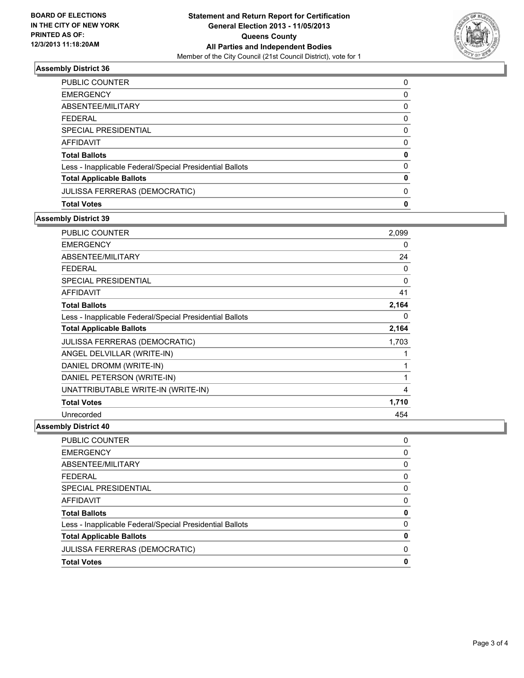

## **Assembly District 36**

| PUBLIC COUNTER                                           | 0           |
|----------------------------------------------------------|-------------|
| <b>EMERGENCY</b>                                         | 0           |
| ABSENTEE/MILITARY                                        | 0           |
| <b>FEDERAL</b>                                           | 0           |
| SPECIAL PRESIDENTIAL                                     | 0           |
| <b>AFFIDAVIT</b>                                         | 0           |
| <b>Total Ballots</b>                                     | 0           |
| Less - Inapplicable Federal/Special Presidential Ballots | 0           |
| <b>Total Applicable Ballots</b>                          | 0           |
| JULISSA FERRERAS (DEMOCRATIC)                            | 0           |
| <b>Total Votes</b>                                       | $\mathbf 0$ |

### **Assembly District 39**

| <b>PUBLIC COUNTER</b>                                    | 2,099 |
|----------------------------------------------------------|-------|
| <b>EMERGENCY</b>                                         | 0     |
| ABSENTEE/MILITARY                                        | 24    |
| <b>FEDERAL</b>                                           | 0     |
| <b>SPECIAL PRESIDENTIAL</b>                              | 0     |
| <b>AFFIDAVIT</b>                                         | 41    |
| <b>Total Ballots</b>                                     | 2,164 |
| Less - Inapplicable Federal/Special Presidential Ballots | 0     |
| <b>Total Applicable Ballots</b>                          | 2,164 |
| JULISSA FERRERAS (DEMOCRATIC)                            | 1,703 |
| ANGEL DELVILLAR (WRITE-IN)                               | 1     |
| DANIEL DROMM (WRITE-IN)                                  | 1     |
| DANIEL PETERSON (WRITE-IN)                               | 1     |
| UNATTRIBUTABLE WRITE-IN (WRITE-IN)                       | 4     |
| <b>Total Votes</b>                                       | 1,710 |
| Unrecorded                                               | 454   |

## **Assembly District 40**

| <b>PUBLIC COUNTER</b>                                    | 0 |
|----------------------------------------------------------|---|
| <b>EMERGENCY</b>                                         | 0 |
| ABSENTEE/MILITARY                                        | 0 |
| <b>FEDERAL</b>                                           | 0 |
| SPECIAL PRESIDENTIAL                                     | 0 |
| AFFIDAVIT                                                | 0 |
| <b>Total Ballots</b>                                     | 0 |
| Less - Inapplicable Federal/Special Presidential Ballots | 0 |
| <b>Total Applicable Ballots</b>                          | 0 |
| JULISSA FERRERAS (DEMOCRATIC)                            | 0 |
| <b>Total Votes</b>                                       | 0 |